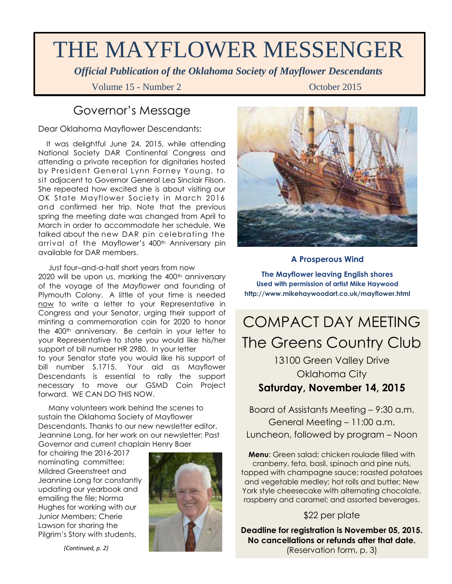# THE MAYFLOWER MESSENGER

*Official Publication of the Oklahoma Society of Mayflower Descendants*

Volume 15 - Number 2 Contract Contract Contract Contract October 2015

## Governor's Message

Dear Oklahoma Mayflower Descendants:

 It was delightful June 24, 2015, while attending National Society DAR Continental Congress and attending a private reception for dignitaries hosted by President General Lynn Forney Young, to sit adjacent to Governor General Lea Sinclair Filson. She repeated how excited she is about visiting our OK State Mayflower Society in March 2016 and confirmed her trip. Note that the previous spring the meeting date was changed from April to March in order to accommodate her schedule. We talked about the new DAR pin celebrating the arrival of the Mayflower's 400<sup>th</sup> Anniversary pin available for DAR members.

 Just four–and-a-half short years from now 2020 will be upon us, marking the 400<sup>th</sup> anniversary of the voyage of the *Mayflower* and founding of Plymouth Colony. A little of your time is needed now to write a letter to your Representative in Congress and your Senator, urging their support of minting a commemoration coin for 2020 to honor the 400<sup>th</sup> anniversary. Be certain in your letter to your Representative to state you would like his/her support of bill number HR 2980. In your letter to your Senator state you would like his support of bill number S.1715. Your aid as Mayflower Descendants is essential to rally the support necessary to move our GSMD Coin Project forward. WE CAN DO THIS NOW.

 Many volunteers work behind the scenes to sustain the Oklahoma Society of Mayflower Descendants. Thanks to our new newsletter editor, Jeannine Long, for her work on our newsletter; Past Governor and current chaplain Henry Baer

for chairing the 2016-2017 nominating committee; Mildred Greenstreet and Jeannine Long for constantly updating our yearbook and emailing the file; Norma Hughes for working with our Junior Members; Cherie Lawson for sharing the Pilgrim's Story with students,





#### **A Prosperous Wind**

**The Mayflower leaving English shores Used with permission of artist Mike Haywood http://www.mikehaywoodart.co.uk/mayflower.html**

# COMPACT DAY MEETING The Greens Country Club

### 13100 Green Valley Drive Oklahoma City **Saturday, November 14, 2015**

Board of Assistants Meeting – 9:30 a.m. General Meeting – 11:00 a.m. Luncheon, followed by program – Noon

**Menu**: Green salad; chicken roulade filled with cranberry, feta, basil, spinach and pine nuts, topped with champagne sauce; roasted potatoes and vegetable medley; hot rolls and butter; New York style cheesecake with alternating chocolate, raspberry and caramel; and assorted beverages.

#### \$22 per plate

**Deadline for registration is November 05, 2015. No cancellations or refunds after that date.** (Reservation form, p. 3)

*(Continued, p. 2)*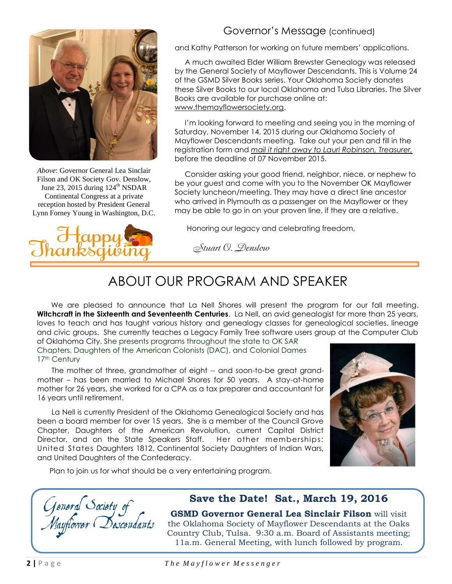

*Above*: Governor General Lea Sinclair Filson and OK Society Gov. Denslow, June 23, 2015 during  $124^{\text{th}}$  NSDAR Continental Congress at a private reception hosted by President General Lynn Forney Young in Washington, D.C.



#### Governor's Message (continued)

and Kathy Patterson for working on future members' applications.

 A much awaited Elder William Brewster Genealogy was released by the General Society of Mayflower Descendants. This is Volume 24 of the GSMD Silver Books series. Your Oklahoma Society donates these Silver Books to our local Oklahoma and Tulsa Libraries. The Silver Books are available for purchase online at: [www.themayflowersociety.org.](http://www.themayflowersociety.org/)

 I'm looking forward to meeting and seeing you in the morning of Saturday, November 14, 2015 during our Oklahoma Society of Mayflower Descendants meeting. Take out your pen and fill in the registration form and *mail it right away to Lauri Robinson, Treasurer,* before the deadline of 07 November 2015.

 Consider asking your good friend, neighbor, niece, or nephew to be your guest and come with you to the November OK Mayflower Society luncheon/meeting. They may have a direct line ancestor who arrived in Plymouth as a passenger on the Mayflower or they may be able to go in on your proven line, if they are a relative.

Honoring our legacy and celebrating freedom,

Stuart O. Denslow

# ABOUT OUR PROGRAM AND SPEAKER

We are pleased to announce that La Nell Shores will present the program for our fall meeting, **Witchcraft in the Sixteenth and Seventeenth Centuries**. La Nell, an avid genealogist for more than 25 years, loves to teach and has taught various history and genealogy classes for genealogical societies, lineage and civic groups. She currently teaches a Legacy Family Tree software users group at the Computer Club

of Oklahoma City. She presents programs throughout the state to OK SAR Chapters, Daughters of the American Colonists (DAC), and Colonial Dames 17th Century

l

 The mother of three, grandmother of eight -- and soon-to-be great grandmother – has been married to Michael Shores for 50 years. A stay-at-home mother for 26 years, she worked for a CPA as a tax preparer and accountant for 16 years until retirement.

 La Nell is currently President of the Oklahoma Genealogical Society and has been a board member for over 15 years. She is a member of the Council Grove Chapter, Daughters of the American Revolution, current Capital District Director, and on the State Speakers Staff. Her other memberships: United States Daughters 1812, Continental Society Daughters of Indian Wars, and United Daughters of the Confederacy.



Plan to join us for what should be a very entertaining program.

General Society of<br>Mayflower (Descendants

### **Save the Date! Sat., March 19, 2016**

**GSMD Governor General Lea Sinclair Filson** will visit the Oklahoma Society of Mayflower Descendants at the Oaks Country Club, Tulsa. 9:30 a.m. Board of Assistants meeting; 11a.m. General Meeting, with lunch followed by program.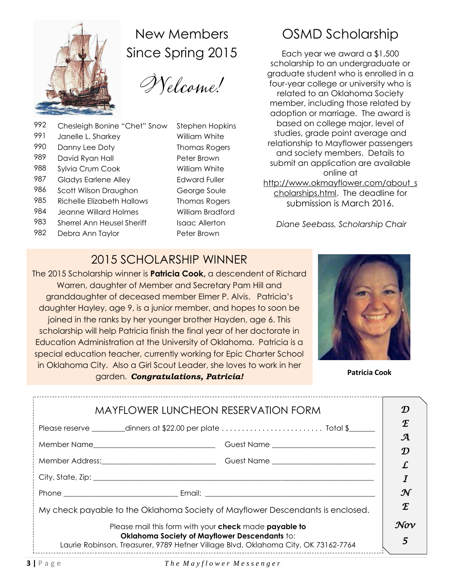

New Members Since Spring 2015

Welcome!

- 992 Chesleigh Bonine "Chet" Snow Stephen Hopkins 991 Janelle L. Sharkey William White
- 990 Danny Lee Doty Thomas Rogers
- 989 David Ryan Hall Peter Brown
- 988 Sylvia Crum Cook William White
- 987 Gladys Earlene Alley **Edward Fuller**
- 986 Scott Wilson Draughon George Soule
- 985 Richelle Elizabeth Hallows Thomas Rogers
- 984 Jeanne Willard Holmes William Bradford
- 983 Sherrel Ann Heusel Sheriff Isaac Allerton
- 982 Debra Ann Taylor **Peter Brown**

# OSMD Scholarship

Each year we award a \$1,500 scholarship to an undergraduate or graduate student who is enrolled in a four-year college or university who is related to an Oklahoma Society member, including those related by adoption or marriage. The award is based on college major, level of studies, grade point average and relationship to Mayflower passengers and society members. Details to submit an application are available online at [http://www.okmayflower.com/about\\_s](http://www.okmayflower.com/about_scholarships.html) [cholarships.html.](http://www.okmayflower.com/about_scholarships.html) The deadline for submission is March 2016.

*Diane Seebass, Scholarship Chair*

# 2015 SCHOLARSHIP WINNER

The 2015 Scholarship winner is **Patricia Cook,** a descendent of Richard Warren, daughter of Member and Secretary Pam Hill and granddaughter of deceased member Elmer P. Alvis. Patricia's daughter Hayley, age 9, is a junior member, and hopes to soon be joined in the ranks by her younger brother Hayden, age 6. This scholarship will help Patricia finish the final year of her doctorate in Education Administration at the University of Oklahoma. Patricia is a special education teacher, currently working for Epic Charter School in Oklahoma City. Also a Girl Scout Leader, she loves to work in her garden. *Congratulations, Patricia!* **Patricia Cook**



| <b>MAYFLOWER LUNCHEON RESERVATION FORM</b>                                                                                                     |                                         |                 |
|------------------------------------------------------------------------------------------------------------------------------------------------|-----------------------------------------|-----------------|
| Please reserve $\_\_\_\_$ dinners at \$22.00 per plate $\,\ldots\, \ldots\, \ldots\, \ldots\, \ldots\, \ldots\,$ . Total \$ $\_\_\_\_\_\_\_\_$ |                                         | E               |
|                                                                                                                                                | Guest Name ____________________________ | $\mathcal A$    |
|                                                                                                                                                |                                         |                 |
|                                                                                                                                                |                                         |                 |
|                                                                                                                                                |                                         | $\mathcal N$    |
| My check payable to the Oklahoma Society of Mayflower Descendants is enclosed.                                                                 |                                         |                 |
| Please mail this form with your check made payable to                                                                                          |                                         | $\mathcal{N}ov$ |
| Oklahoma Society of Mayflower Descendants to:<br>Laurie Robinson, Treasurer, 9789 Hefner Village Blvd, Oklahoma City, OK 73162-7764            |                                         |                 |